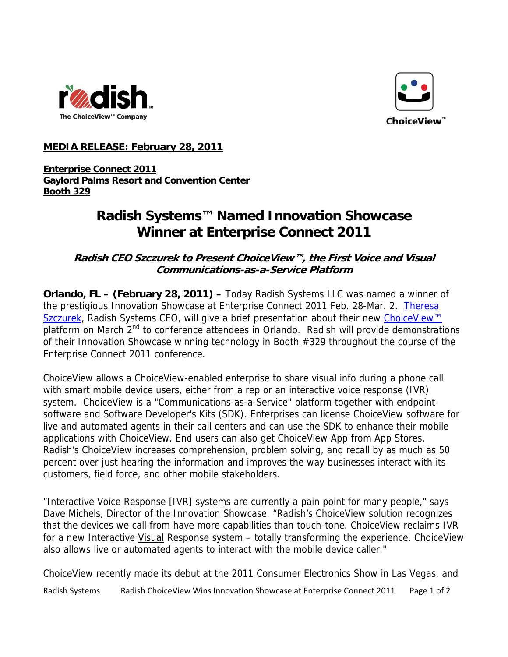



## **MEDIA RELEASE: February 28, 2011**

**Enterprise Connect 2011 Gaylord Palms Resort and Convention Center Booth 329**

## **Radish Systems™ Named Innovation Showcase Winner at Enterprise Connect 2011**

**Radish CEO Szczurek to Present ChoiceView™, the First Voice and Visual Communications-as-a-Service Platform** 

**Orlando, FL – (February 28, 2011) –** Today Radish Systems LLC was named a winner of the prestigious Innovation Showcase at Enterprise Connect 2011 Feb. 28-Mar. 2. Theresa [Szczurek](http://www.radishsystems.com/company/leadership/), Radish Systems CEO, will give a brief presentation about their new ChoiceView<sup>™</sup> platform on March 2<sup>nd</sup> to conference attendees in Orlando. Radish will provide demonstrations of their Innovation Showcase winning technology in Booth #329 throughout the course of the Enterprise Connect 2011 conference.

ChoiceView allows a ChoiceView-enabled enterprise to share visual info during a phone call with smart mobile device users, either from a rep or an interactive voice response (IVR) system. ChoiceView is a "Communications-as-a-Service" platform together with endpoint software and Software Developer's Kits (SDK). Enterprises can license ChoiceView software for live and automated agents in their call centers and can use the SDK to enhance their mobile applications with ChoiceView. End users can also get ChoiceView App from App Stores. Radish's ChoiceView increases comprehension, problem solving, and recall by as much as 50 percent over just hearing the information and improves the way businesses interact with its customers, field force, and other mobile stakeholders.

"Interactive Voice Response [IVR] systems are currently a pain point for many people," says Dave Michels, Director of the Innovation Showcase. "Radish's ChoiceView solution recognizes that the devices we call from have more capabilities than touch-tone. ChoiceView reclaims IVR for a new Interactive Visual Response system - totally transforming the experience. ChoiceView also allows live or automated agents to interact with the mobile device caller."

ChoiceView recently made its debut at the 2011 Consumer Electronics Show in Las Vegas, and Radish Systems Radish ChoiceView Wins Innovation Showcase at Enterprise Connect 2011 Page 1 of 2